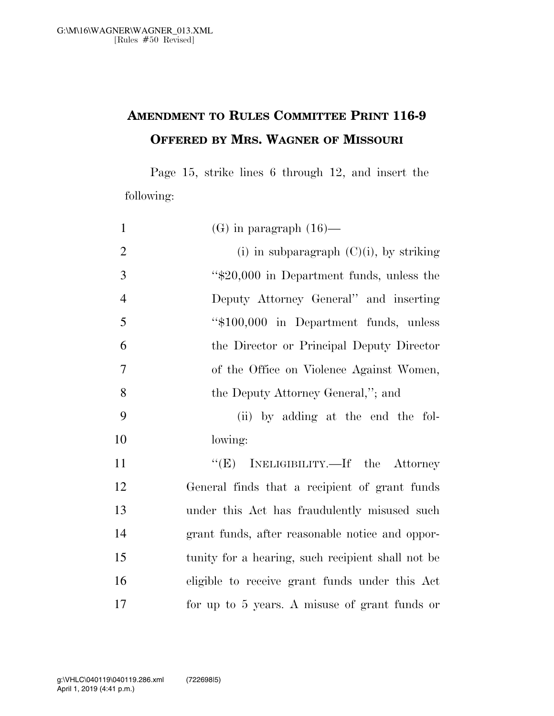## **AMENDMENT TO RULES COMMITTEE PRINT 116-9 OFFERED BY MRS. WAGNER OF MISSOURI**

Page 15, strike lines 6 through 12, and insert the following:

| $\mathbf{1}$   | $(G)$ in paragraph $(16)$ —                       |
|----------------|---------------------------------------------------|
| $\overline{2}$ | (i) in subparagraph $(C)(i)$ , by striking        |
| 3              | "\$20,000 in Department funds, unless the         |
| $\overline{4}$ | Deputy Attorney General" and inserting            |
| 5              | "\$100,000 in Department funds, unless            |
| 6              | the Director or Principal Deputy Director         |
| $\overline{7}$ | of the Office on Violence Against Women,          |
| 8              | the Deputy Attorney General,"; and                |
| 9              | (ii) by adding at the end the fol-                |
| 10             | lowing:                                           |
| 11             | INELIGIBILITY.—If the Attorney<br>``(E)           |
| 12             | General finds that a recipient of grant funds     |
| 13             | under this Act has fraudulently misused such      |
| 14             | grant funds, after reasonable notice and oppor-   |
| 15             | tunity for a hearing, such recipient shall not be |
| 16             | eligible to receive grant funds under this Act    |
| 17             | for up to 5 years. A misuse of grant funds or     |